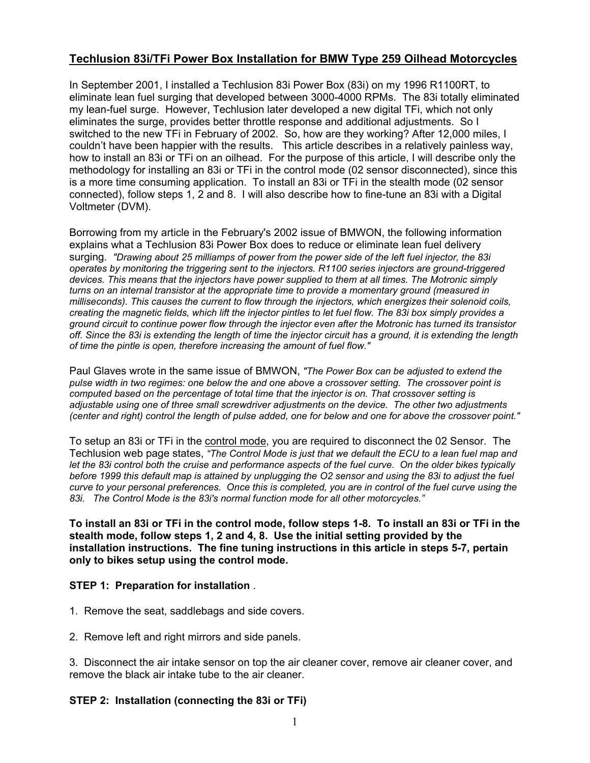# **Techlusion 83i/TFi Power Box Installation for BMW Type 259 Oilhead Motorcycles**

In September 2001, I installed a Techlusion 83i Power Box (83i) on my 1996 R1100RT, to eliminate lean fuel surging that developed between 3000-4000 RPMs. The 83i totally eliminated my lean-fuel surge. However, Techlusion later developed a new digital TFi, which not only eliminates the surge, provides better throttle response and additional adjustments. So I switched to the new TFi in February of 2002. So, how are they working? After 12,000 miles, I couldn't have been happier with the results. This article describes in a relatively painless way, how to install an 83i or TFi on an oilhead. For the purpose of this article, I will describe only the methodology for installing an 83i or TFi in the control mode (02 sensor disconnected), since this is a more time consuming application. To install an 83i or TFi in the stealth mode (02 sensor connected), follow steps 1, 2 and 8. I will also describe how to fine-tune an 83i with a Digital Voltmeter (DVM).

Borrowing from my article in the February's 2002 issue of BMWON, the following information explains what a Techlusion 83i Power Box does to reduce or eliminate lean fuel delivery surging. *"Drawing about 25 milliamps of power from the power side of the left fuel injector, the 83i operates by monitoring the triggering sent to the injectors. R1100 series injectors are ground-triggered devices. This means that the injectors have power supplied to them at all times. The Motronic simply turns on an internal transistor at the appropriate time to provide a momentary ground (measured in milliseconds). This causes the current to flow through the injectors, which energizes their solenoid coils, creating the magnetic fields, which lift the injector pintles to let fuel flow. The 83i box simply provides a ground circuit to continue power flow through the injector even after the Motronic has turned its transistor off. Since the 83i is extending the length of time the injector circuit has a ground, it is extending the length of time the pintle is open, therefore increasing the amount of fuel flow."* 

Paul Glaves wrote in the same issue of BMWON, *"The Power Box can be adjusted to extend the pulse width in two regimes: one below the and one above a crossover setting. The crossover point is computed based on the percentage of total time that the injector is on. That crossover setting is adjustable using one of three small screwdriver adjustments on the device. The other two adjustments (center and right) control the length of pulse added, one for below and one for above the crossover point."* 

To setup an 83i or TFi in the control mode, you are required to disconnect the 02 Sensor. The Techlusion web page states, *"The Control Mode is just that we default the ECU to a lean fuel map and let the 83i control both the cruise and performance aspects of the fuel curve. On the older bikes typically before 1999 this default map is attained by unplugging the O2 sensor and using the 83i to adjust the fuel curve to your personal preferences. Once this is completed, you are in control of the fuel curve using the 83i. The Control Mode is the 83i's normal function mode for all other motorcycles."* 

**To install an 83i or TFi in the control mode, follow steps 1-8. To install an 83i or TFi in the stealth mode, follow steps 1, 2 and 4, 8. Use the initial setting provided by the installation instructions. The fine tuning instructions in this article in steps 5-7, pertain only to bikes setup using the control mode.** 

#### **STEP 1: Preparation for installation** .

- 1. Remove the seat, saddlebags and side covers.
- 2. Remove left and right mirrors and side panels.

3. Disconnect the air intake sensor on top the air cleaner cover, remove air cleaner cover, and remove the black air intake tube to the air cleaner.

#### **STEP 2: Installation (connecting the 83i or TFi)**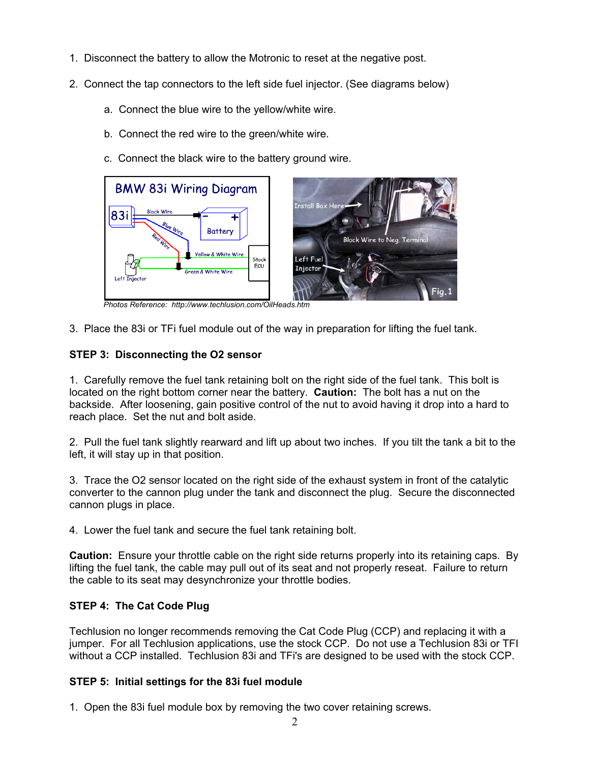- 1. Disconnect the battery to allow the Motronic to reset at the negative post.
- 2. Connect the tap connectors to the left side fuel injector. (See diagrams below)
	- a. Connect the blue wire to the yellow/white wire.
	- b. Connect the red wire to the green/white wire.
	- c. Connect the black wire to the battery ground wire.



*Photos Reference: http://www.techlusion.com/OilHeads.htm* 

3. Place the 83i or TFi fuel module out of the way in preparation for lifting the fuel tank.

### **STEP 3: Disconnecting the O2 sensor**

1. Carefully remove the fuel tank retaining bolt on the right side of the fuel tank. This bolt is located on the right bottom corner near the battery. **Caution:** The bolt has a nut on the backside. After loosening, gain positive control of the nut to avoid having it drop into a hard to reach place. Set the nut and bolt aside.

2. Pull the fuel tank slightly rearward and lift up about two inches. If you tilt the tank a bit to the left, it will stay up in that position.

3. Trace the O2 sensor located on the right side of the exhaust system in front of the catalytic converter to the cannon plug under the tank and disconnect the plug. Secure the disconnected cannon plugs in place.

4. Lower the fuel tank and secure the fuel tank retaining bolt.

**Caution:** Ensure your throttle cable on the right side returns properly into its retaining caps. By lifting the fuel tank, the cable may pull out of its seat and not properly reseat. Failure to return the cable to its seat may desynchronize your throttle bodies.

## **STEP 4: The Cat Code Plug**

Techlusion no longer recommends removing the Cat Code Plug (CCP) and replacing it with a jumper. For all Techlusion applications, use the stock CCP. Do not use a Techlusion 83i or TFI without a CCP installed. Techlusion 83i and TFi's are designed to be used with the stock CCP.

## **STEP 5: Initial settings for the 83i fuel module**

1. Open the 83i fuel module box by removing the two cover retaining screws.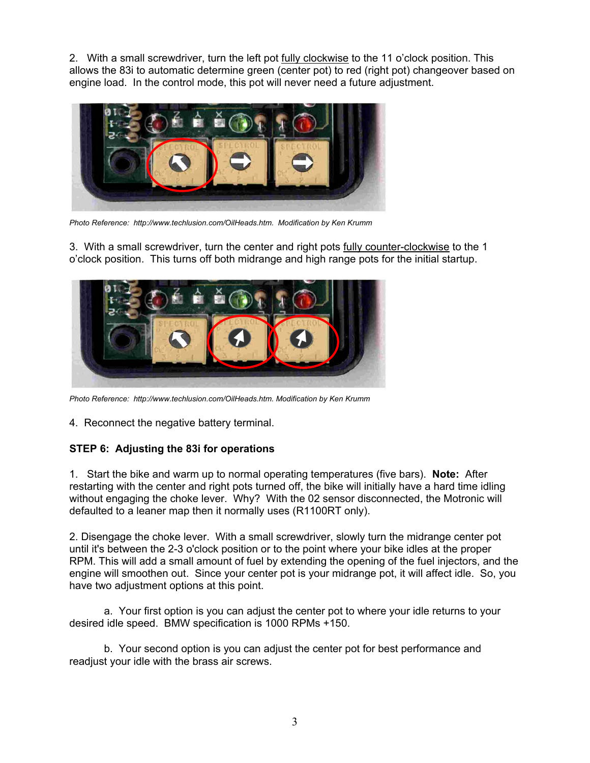2. With a small screwdriver, turn the left pot fully clockwise to the 11 o'clock position. This allows the 83i to automatic determine green (center pot) to red (right pot) changeover based on engine load. In the control mode, this pot will never need a future adjustment.



*Photo Reference: http://www.techlusion.com/OilHeads.htm. Modification by Ken Krumm*

3. With a small screwdriver, turn the center and right pots fully counter-clockwise to the 1 o'clock position. This turns off both midrange and high range pots for the initial startup.



*Photo Reference: http://www.techlusion.com/OilHeads.htm. Modification by Ken Krumm*

4. Reconnect the negative battery terminal.

#### **STEP 6: Adjusting the 83i for operations**

1. Start the bike and warm up to normal operating temperatures (five bars). **Note:** After restarting with the center and right pots turned off, the bike will initially have a hard time idling without engaging the choke lever. Why? With the 02 sensor disconnected, the Motronic will defaulted to a leaner map then it normally uses (R1100RT only).

2. Disengage the choke lever. With a small screwdriver, slowly turn the midrange center pot until it's between the 2-3 o'clock position or to the point where your bike idles at the proper RPM. This will add a small amount of fuel by extending the opening of the fuel injectors, and the engine will smoothen out. Since your center pot is your midrange pot, it will affect idle. So, you have two adjustment options at this point.

a. Your first option is you can adjust the center pot to where your idle returns to your desired idle speed. BMW specification is 1000 RPMs +150.

b. Your second option is you can adjust the center pot for best performance and readjust your idle with the brass air screws.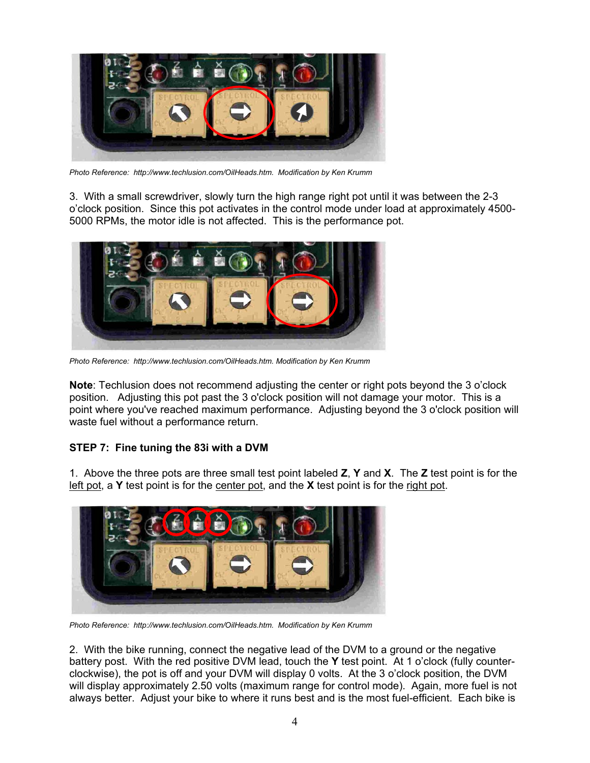

*Photo Reference: http://www.techlusion.com/OilHeads.htm. Modification by Ken Krumm*

3. With a small screwdriver, slowly turn the high range right pot until it was between the 2-3 o'clock position. Since this pot activates in the control mode under load at approximately 4500- 5000 RPMs, the motor idle is not affected. This is the performance pot.



*Photo Reference: http://www.techlusion.com/OilHeads.htm. Modification by Ken Krumm*

**Note**: Techlusion does not recommend adjusting the center or right pots beyond the 3 o'clock position. Adjusting this pot past the 3 o'clock position will not damage your motor. This is a point where you've reached maximum performance. Adjusting beyond the 3 o'clock position will waste fuel without a performance return.

### **STEP 7: Fine tuning the 83i with a DVM**

1. Above the three pots are three small test point labeled **Z**, **Y** and **X**. The **Z** test point is for the left pot, a **Y** test point is for the center pot, and the **X** test point is for the right pot.



*Photo Reference: http://www.techlusion.com/OilHeads.htm. Modification by Ken Krumm*

2. With the bike running, connect the negative lead of the DVM to a ground or the negative battery post. With the red positive DVM lead, touch the **Y** test point. At 1 o'clock (fully counterclockwise), the pot is off and your DVM will display 0 volts. At the 3 o'clock position, the DVM will display approximately 2.50 volts (maximum range for control mode). Again, more fuel is not always better. Adjust your bike to where it runs best and is the most fuel-efficient. Each bike is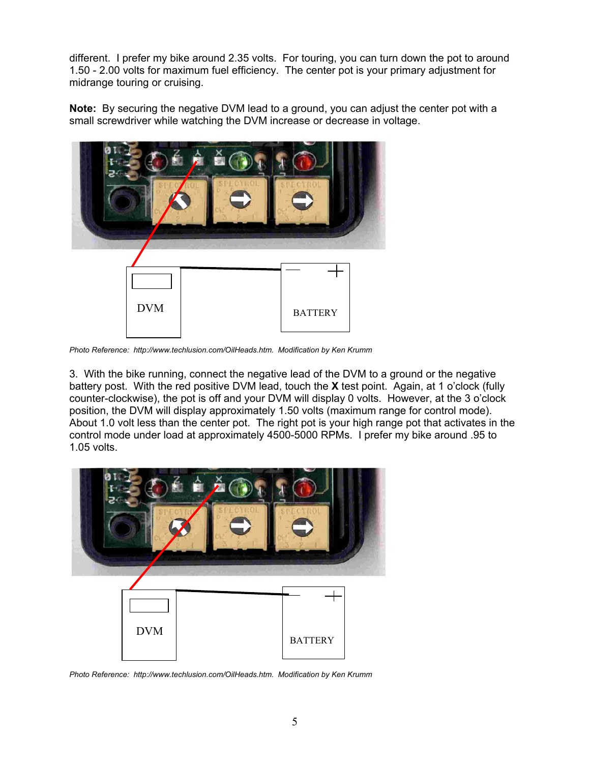different. I prefer my bike around 2.35 volts. For touring, you can turn down the pot to around 1.50 - 2.00 volts for maximum fuel efficiency. The center pot is your primary adjustment for midrange touring or cruising.

**Note:** By securing the negative DVM lead to a ground, you can adjust the center pot with a small screwdriver while watching the DVM increase or decrease in voltage.



*Photo Reference: http://www.techlusion.com/OilHeads.htm. Modification by Ken Krumm*

3. With the bike running, connect the negative lead of the DVM to a ground or the negative battery post. With the red positive DVM lead, touch the **X** test point. Again, at 1 o'clock (fully counter-clockwise), the pot is off and your DVM will display 0 volts. However, at the 3 o'clock position, the DVM will display approximately 1.50 volts (maximum range for control mode). About 1.0 volt less than the center pot. The right pot is your high range pot that activates in the control mode under load at approximately 4500-5000 RPMs. I prefer my bike around .95 to 1.05 volts.



*Photo Reference: http://www.techlusion.com/OilHeads.htm. Modification by Ken Krumm*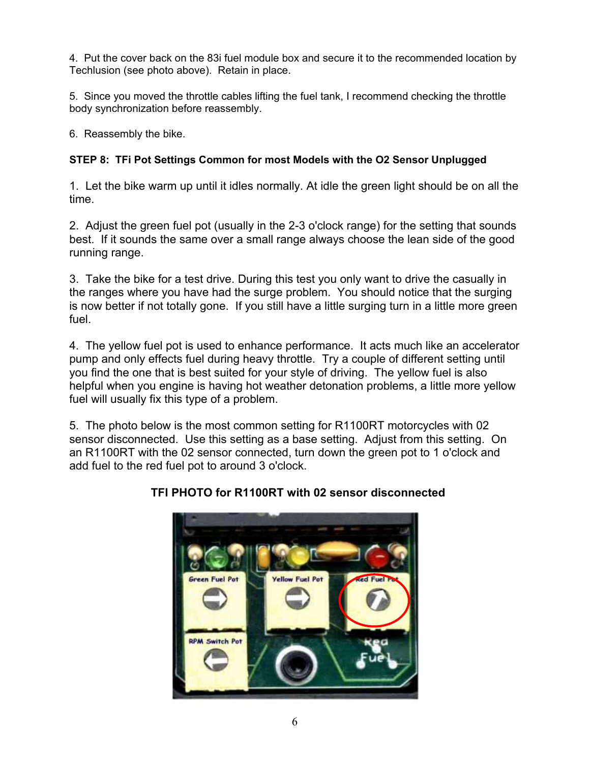4. Put the cover back on the 83i fuel module box and secure it to the recommended location by Techlusion (see photo above). Retain in place.

5. Since you moved the throttle cables lifting the fuel tank, I recommend checking the throttle body synchronization before reassembly.

6. Reassembly the bike.

# **STEP 8: TFi Pot Settings Common for most Models with the O2 Sensor Unplugged**

1. Let the bike warm up until it idles normally. At idle the green light should be on all the time.

2. Adjust the green fuel pot (usually in the 2-3 o'clock range) for the setting that sounds best. If it sounds the same over a small range always choose the lean side of the good running range.

3. Take the bike for a test drive. During this test you only want to drive the casually in the ranges where you have had the surge problem. You should notice that the surging is now better if not totally gone. If you still have a little surging turn in a little more green fuel.

4. The yellow fuel pot is used to enhance performance. It acts much like an accelerator pump and only effects fuel during heavy throttle. Try a couple of different setting until you find the one that is best suited for your style of driving. The yellow fuel is also helpful when you engine is having hot weather detonation problems, a little more yellow fuel will usually fix this type of a problem.

5. The photo below is the most common setting for R1100RT motorcycles with 02 sensor disconnected. Use this setting as a base setting. Adjust from this setting. On an R1100RT with the 02 sensor connected, turn down the green pot to 1 o'clock and add fuel to the red fuel pot to around 3 o'clock.



# **TFI PHOTO for R1100RT with 02 sensor disconnected**